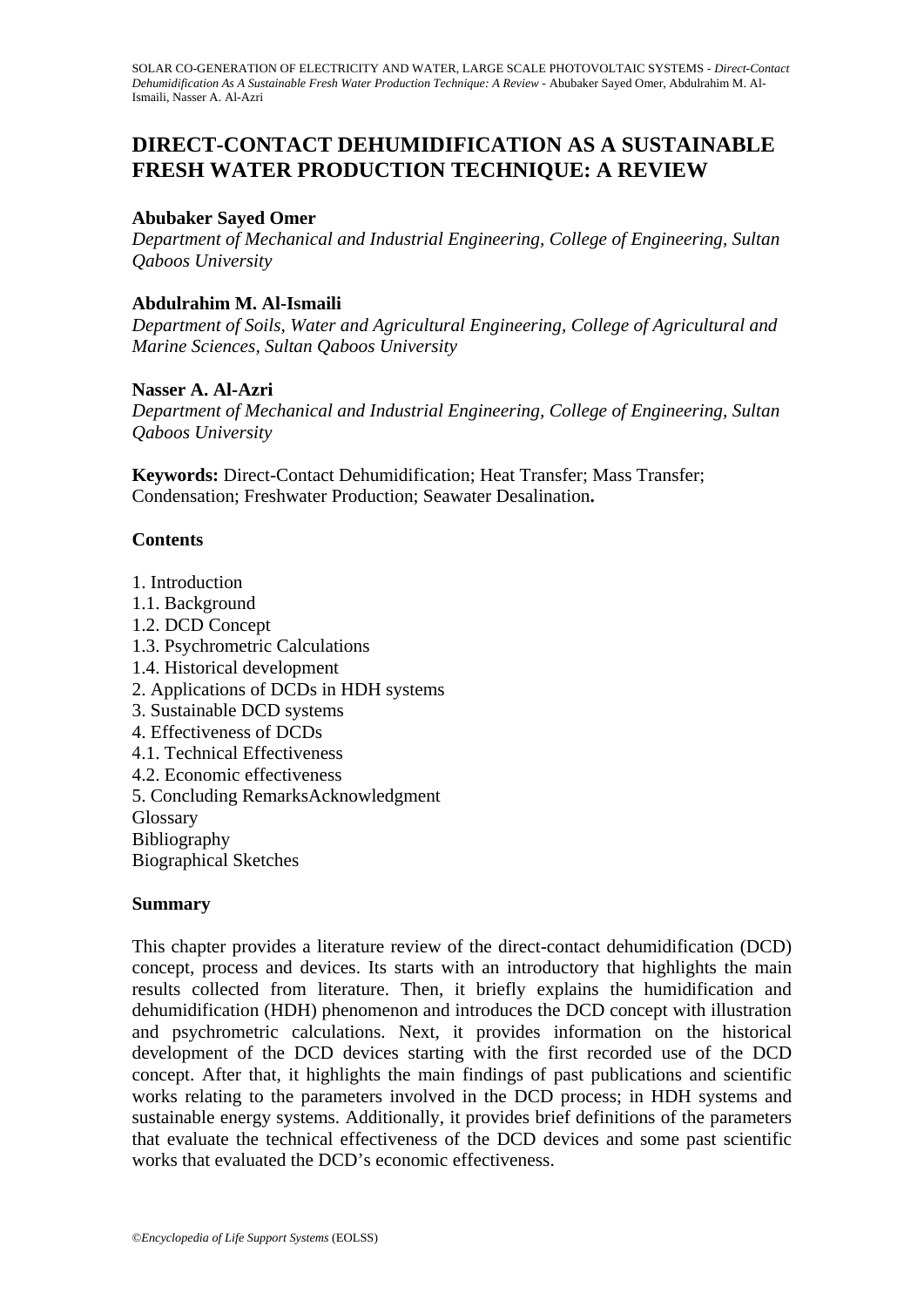# **DIRECT-CONTACT DEHUMIDIFICATION AS A SUSTAINABLE FRESH WATER PRODUCTION TECHNIQUE: A REVIEW**

#### **Abubaker Sayed Omer**

*Department of Mechanical and Industrial Engineering, College of Engineering, Sultan Qaboos University* 

### **Abdulrahim M. Al-Ismaili**

*Department of Soils, Water and Agricultural Engineering, College of Agricultural and Marine Sciences, Sultan Qaboos University* 

#### **Nasser A. Al-Azri**

*Department of Mechanical and Industrial Engineering, College of Engineering, Sultan Qaboos University* 

**Keywords:** Direct-Contact Dehumidification; Heat Transfer; Mass Transfer; Condensation; Freshwater Production; Seawater Desalination**.** 

#### **Contents**

- 1. Introduction
- 1.1. Background
- 1.2. DCD Concept
- 1.3. Psychrometric Calculations
- 1.4. Historical development
- 2. Applications of DCDs in HDH systems
- 3. Sustainable DCD systems
- 4. Effectiveness of DCDs
- 4.1. Technical Effectiveness
- 4.2. Economic effectiveness
- 5. Concluding RemarksAcknowledgment

**Glossary** 

Bibliography

Biographical Sketches

#### **Summary**

This chapter provides a literature review of the direct-contact dehumidification (DCD) concept, process and devices. Its starts with an introductory that highlights the main results collected from literature. Then, it briefly explains the humidification and dehumidification (HDH) phenomenon and introduces the DCD concept with illustration and psychrometric calculations. Next, it provides information on the historical development of the DCD devices starting with the first recorded use of the DCD concept. After that, it highlights the main findings of past publications and scientific works relating to the parameters involved in the DCD process; in HDH systems and sustainable energy systems. Additionally, it provides brief definitions of the parameters that evaluate the technical effectiveness of the DCD devices and some past scientific works that evaluated the DCD's economic effectiveness.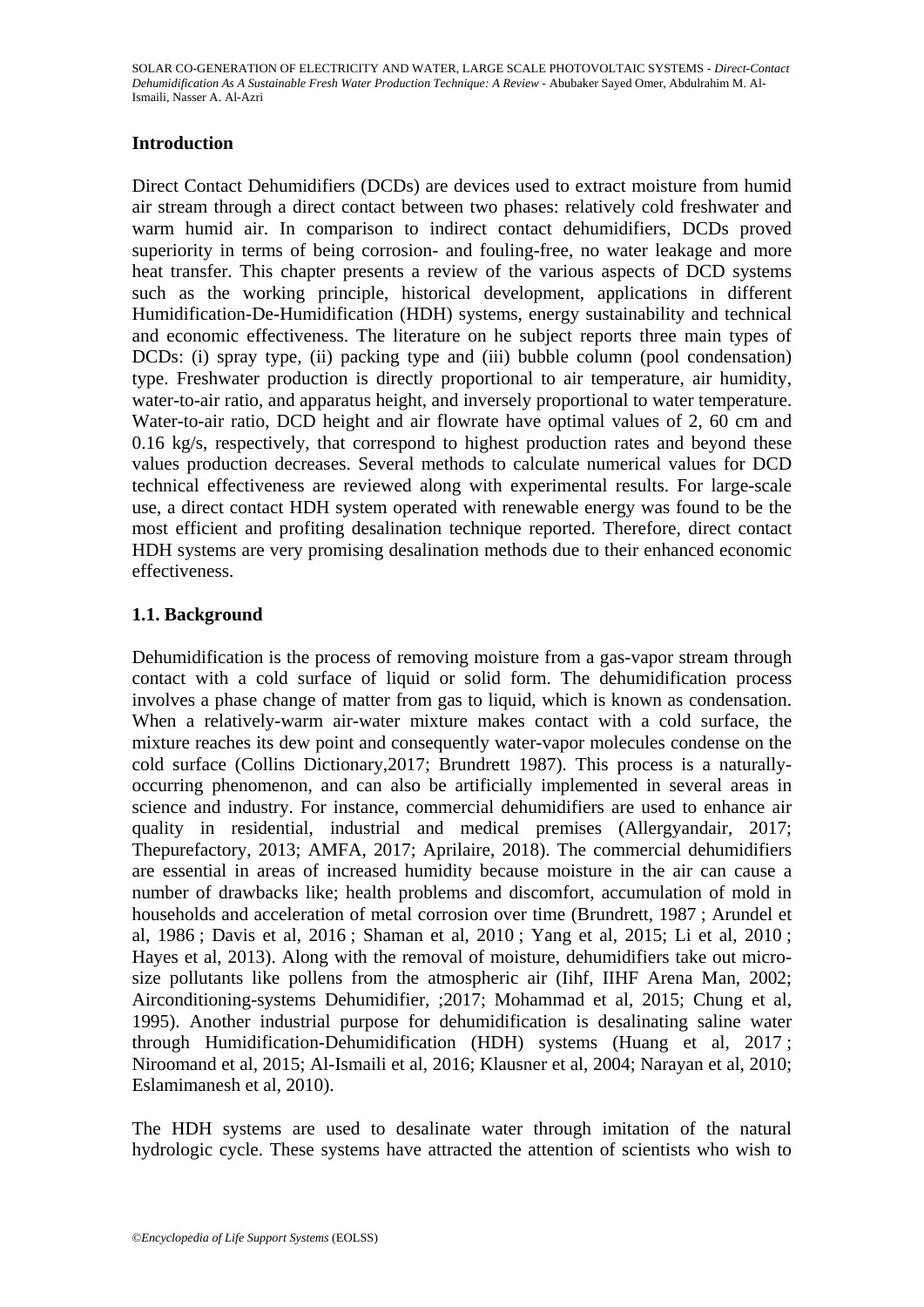## **Introduction**

Direct Contact Dehumidifiers (DCDs) are devices used to extract moisture from humid air stream through a direct contact between two phases: relatively cold freshwater and warm humid air. In comparison to indirect contact dehumidifiers, DCDs proved superiority in terms of being corrosion- and fouling-free, no water leakage and more heat transfer. This chapter presents a review of the various aspects of DCD systems such as the working principle, historical development, applications in different Humidification-De-Humidification (HDH) systems, energy sustainability and technical and economic effectiveness. The literature on he subject reports three main types of DCDs: (i) spray type, (ii) packing type and (iii) bubble column (pool condensation) type. Freshwater production is directly proportional to air temperature, air humidity, water-to-air ratio, and apparatus height, and inversely proportional to water temperature. Water-to-air ratio, DCD height and air flowrate have optimal values of 2, 60 cm and 0.16 kg/s, respectively, that correspond to highest production rates and beyond these values production decreases. Several methods to calculate numerical values for DCD technical effectiveness are reviewed along with experimental results. For large-scale use, a direct contact HDH system operated with renewable energy was found to be the most efficient and profiting desalination technique reported. Therefore, direct contact HDH systems are very promising desalination methods due to their enhanced economic effectiveness.

## **1.1. Background**

Dehumidification is the process of removing moisture from a gas-vapor stream through contact with a cold surface of liquid or solid form. The dehumidification process involves a phase change of matter from gas to liquid, which is known as condensation. When a relatively-warm air-water mixture makes contact with a cold surface, the mixture reaches its dew point and consequently water-vapor molecules condense on the cold surface (Collins Dictionary,2017; Brundrett 1987). This process is a naturallyoccurring phenomenon, and can also be artificially implemented in several areas in science and industry. For instance, commercial dehumidifiers are used to enhance air quality in residential, industrial and medical premises (Allergyandair, 2017; Thepurefactory, 2013; AMFA, 2017; Aprilaire, 2018). The commercial dehumidifiers are essential in areas of increased humidity because moisture in the air can cause a number of drawbacks like; health problems and discomfort, accumulation of mold in households and acceleration of metal corrosion over time (Brundrett, 1987 ; Arundel et al, 1986 ; Davis et al, 2016 ; Shaman et al, 2010 ; Yang et al, 2015; Li et al, 2010 ; Hayes et al, 2013). Along with the removal of moisture, dehumidifiers take out microsize pollutants like pollens from the atmospheric air (Iihf, IIHF Arena Man, 2002; Airconditioning-systems Dehumidifier, ;2017; Mohammad et al, 2015; Chung et al, 1995). Another industrial purpose for dehumidification is desalinating saline water through Humidification-Dehumidification (HDH) systems (Huang et al, 2017 ; Niroomand et al, 2015; Al-Ismaili et al, 2016; Klausner et al, 2004; Narayan et al, 2010; Eslamimanesh et al, 2010).

The HDH systems are used to desalinate water through imitation of the natural hydrologic cycle. These systems have attracted the attention of scientists who wish to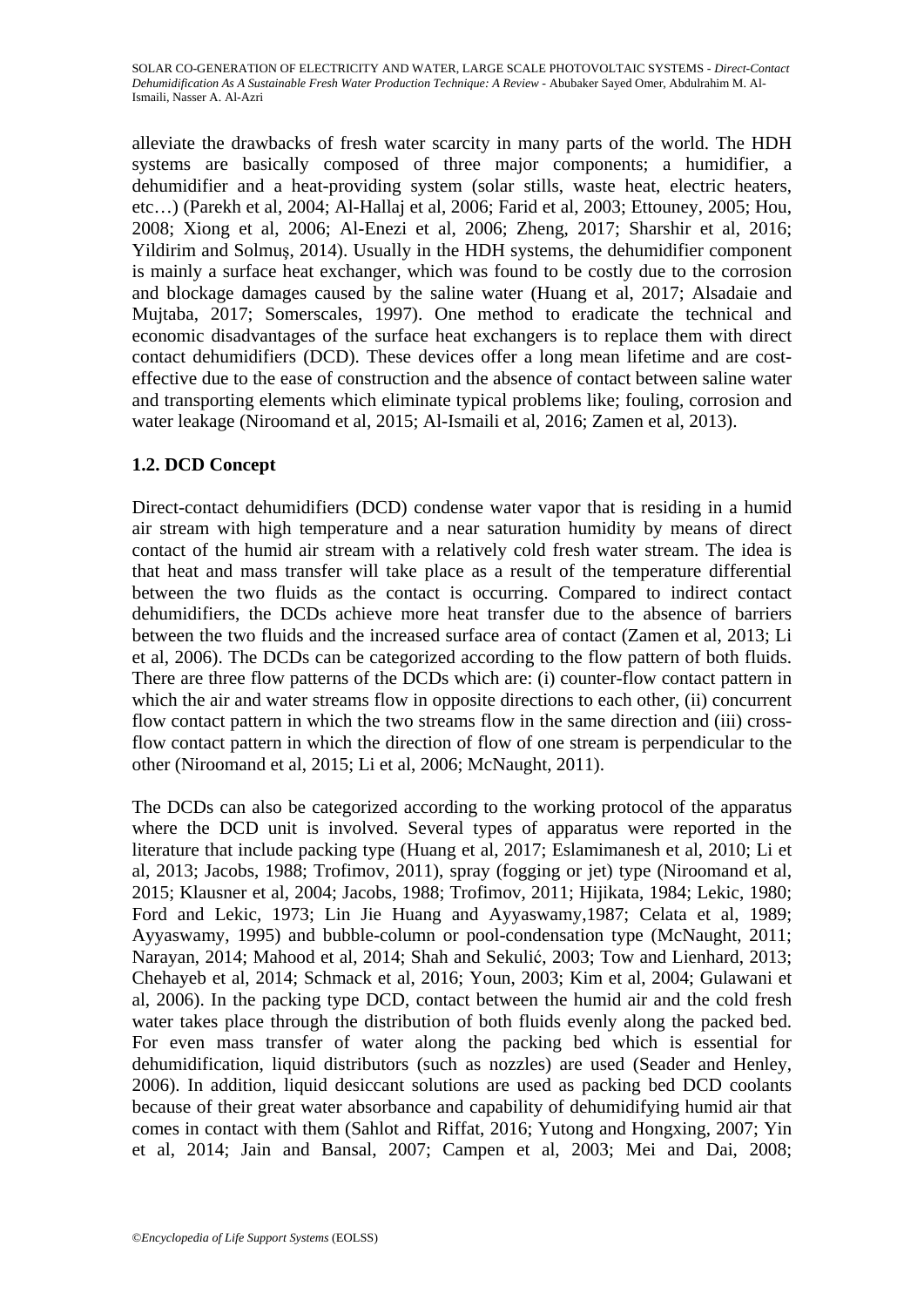alleviate the drawbacks of fresh water scarcity in many parts of the world. The HDH systems are basically composed of three major components; a humidifier, a dehumidifier and a heat-providing system (solar stills, waste heat, electric heaters, etc…) (Parekh et al, 2004; Al-Hallaj et al, 2006; Farid et al, 2003; Ettouney, 2005; Hou, 2008; Xiong et al, 2006; Al-Enezi et al, 2006; Zheng, 2017; Sharshir et al, 2016; Yildirim and Solmuş, 2014). Usually in the HDH systems, the dehumidifier component is mainly a surface heat exchanger, which was found to be costly due to the corrosion and blockage damages caused by the saline water (Huang et al, 2017; Alsadaie and Mujtaba, 2017; Somerscales, 1997). One method to eradicate the technical and economic disadvantages of the surface heat exchangers is to replace them with direct contact dehumidifiers (DCD). These devices offer a long mean lifetime and are costeffective due to the ease of construction and the absence of contact between saline water and transporting elements which eliminate typical problems like; fouling, corrosion and water leakage (Niroomand et al, 2015; Al-Ismaili et al, 2016; Zamen et al, 2013).

# **1.2. DCD Concept**

Direct-contact dehumidifiers (DCD) condense water vapor that is residing in a humid air stream with high temperature and a near saturation humidity by means of direct contact of the humid air stream with a relatively cold fresh water stream. The idea is that heat and mass transfer will take place as a result of the temperature differential between the two fluids as the contact is occurring. Compared to indirect contact dehumidifiers, the DCDs achieve more heat transfer due to the absence of barriers between the two fluids and the increased surface area of contact (Zamen et al, 2013; Li et al, 2006). The DCDs can be categorized according to the flow pattern of both fluids. There are three flow patterns of the DCDs which are: (i) counter-flow contact pattern in which the air and water streams flow in opposite directions to each other, *(ii)* concurrent flow contact pattern in which the two streams flow in the same direction and (iii) crossflow contact pattern in which the direction of flow of one stream is perpendicular to the other (Niroomand et al, 2015; Li et al, 2006; McNaught, 2011).

The DCDs can also be categorized according to the working protocol of the apparatus where the DCD unit is involved. Several types of apparatus were reported in the literature that include packing type (Huang et al, 2017; Eslamimanesh et al, 2010; Li et al, 2013; Jacobs, 1988; Trofimov, 2011), spray (fogging or jet) type (Niroomand et al, 2015; Klausner et al, 2004; Jacobs, 1988; Trofimov, 2011; Hijikata, 1984; Lekic, 1980; Ford and Lekic, 1973; Lin Jie Huang and Ayyaswamy,1987; Celata et al, 1989; Ayyaswamy, 1995) and bubble-column or pool-condensation type (McNaught, 2011; Narayan, 2014; Mahood et al, 2014; Shah and Sekulić, 2003; Tow and Lienhard, 2013; Chehayeb et al, 2014; Schmack et al, 2016; Youn, 2003; Kim et al, 2004; Gulawani et al, 2006). In the packing type DCD, contact between the humid air and the cold fresh water takes place through the distribution of both fluids evenly along the packed bed. For even mass transfer of water along the packing bed which is essential for dehumidification, liquid distributors (such as nozzles) are used (Seader and Henley, 2006). In addition, liquid desiccant solutions are used as packing bed DCD coolants because of their great water absorbance and capability of dehumidifying humid air that comes in contact with them (Sahlot and Riffat, 2016; Yutong and Hongxing, 2007; Yin et al, 2014; Jain and Bansal, 2007; Campen et al, 2003; Mei and Dai, 2008;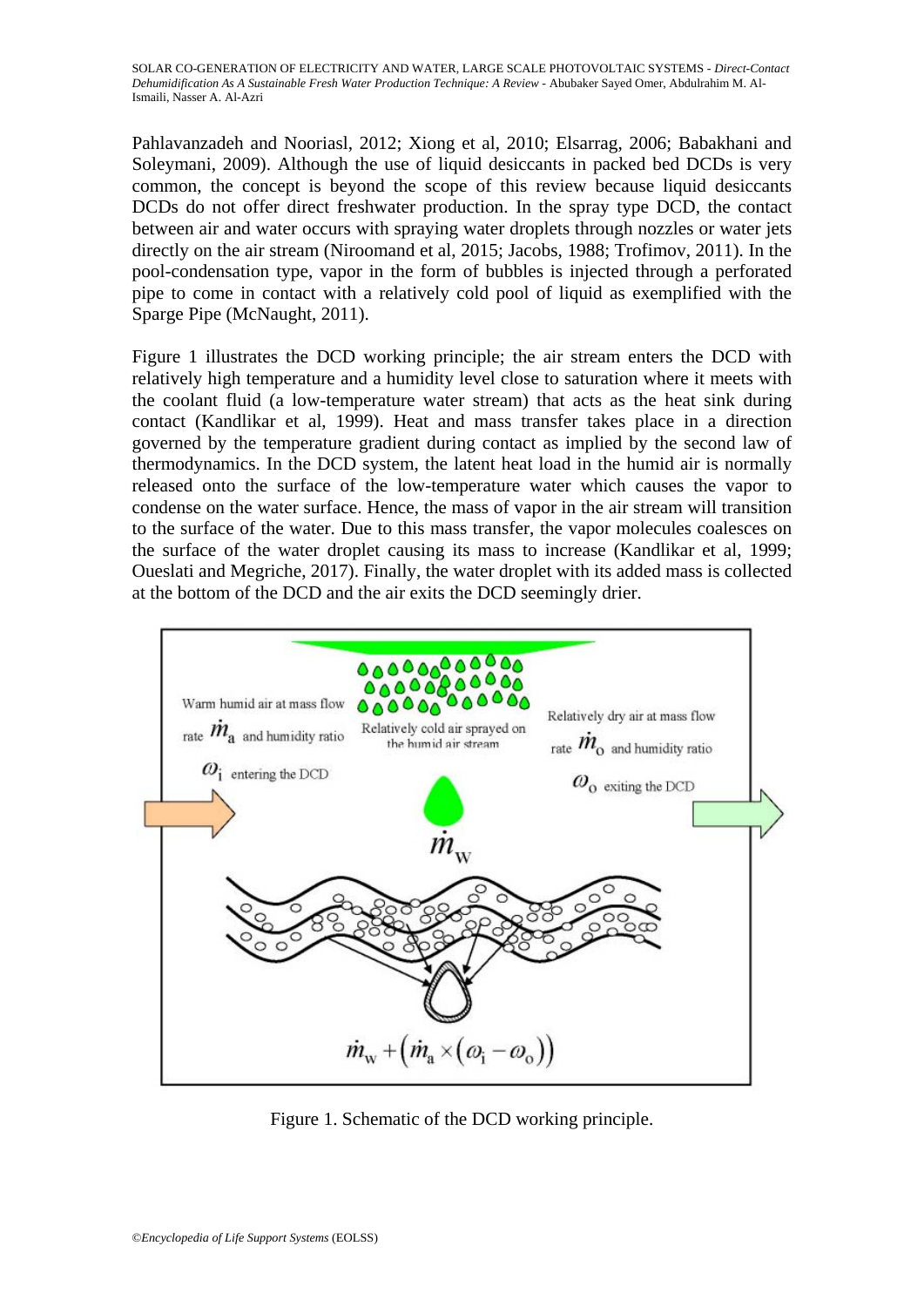Pahlavanzadeh and Nooriasl, 2012; Xiong et al, 2010; Elsarrag, 2006; Babakhani and Soleymani, 2009). Although the use of liquid desiccants in packed bed DCDs is very common, the concept is beyond the scope of this review because liquid desiccants DCDs do not offer direct freshwater production. In the spray type DCD, the contact between air and water occurs with spraying water droplets through nozzles or water jets directly on the air stream (Niroomand et al, 2015; Jacobs, 1988; Trofimov, 2011). In the pool-condensation type, vapor in the form of bubbles is injected through a perforated pipe to come in contact with a relatively cold pool of liquid as exemplified with the Sparge Pipe (McNaught, 2011).

Figure 1 illustrates the DCD working principle; the air stream enters the DCD with relatively high temperature and a humidity level close to saturation where it meets with the coolant fluid (a low-temperature water stream) that acts as the heat sink during contact (Kandlikar et al, 1999). Heat and mass transfer takes place in a direction governed by the temperature gradient during contact as implied by the second law of thermodynamics. In the DCD system, the latent heat load in the humid air is normally released onto the surface of the low-temperature water which causes the vapor to condense on the water surface. Hence, the mass of vapor in the air stream will transition to the surface of the water. Due to this mass transfer, the vapor molecules coalesces on the surface of the water droplet causing its mass to increase (Kandlikar et al, 1999; Oueslati and Megriche, 2017). Finally, the water droplet with its added mass is collected at the bottom of the DCD and the air exits the DCD seemingly drier.



Figure 1. Schematic of the DCD working principle.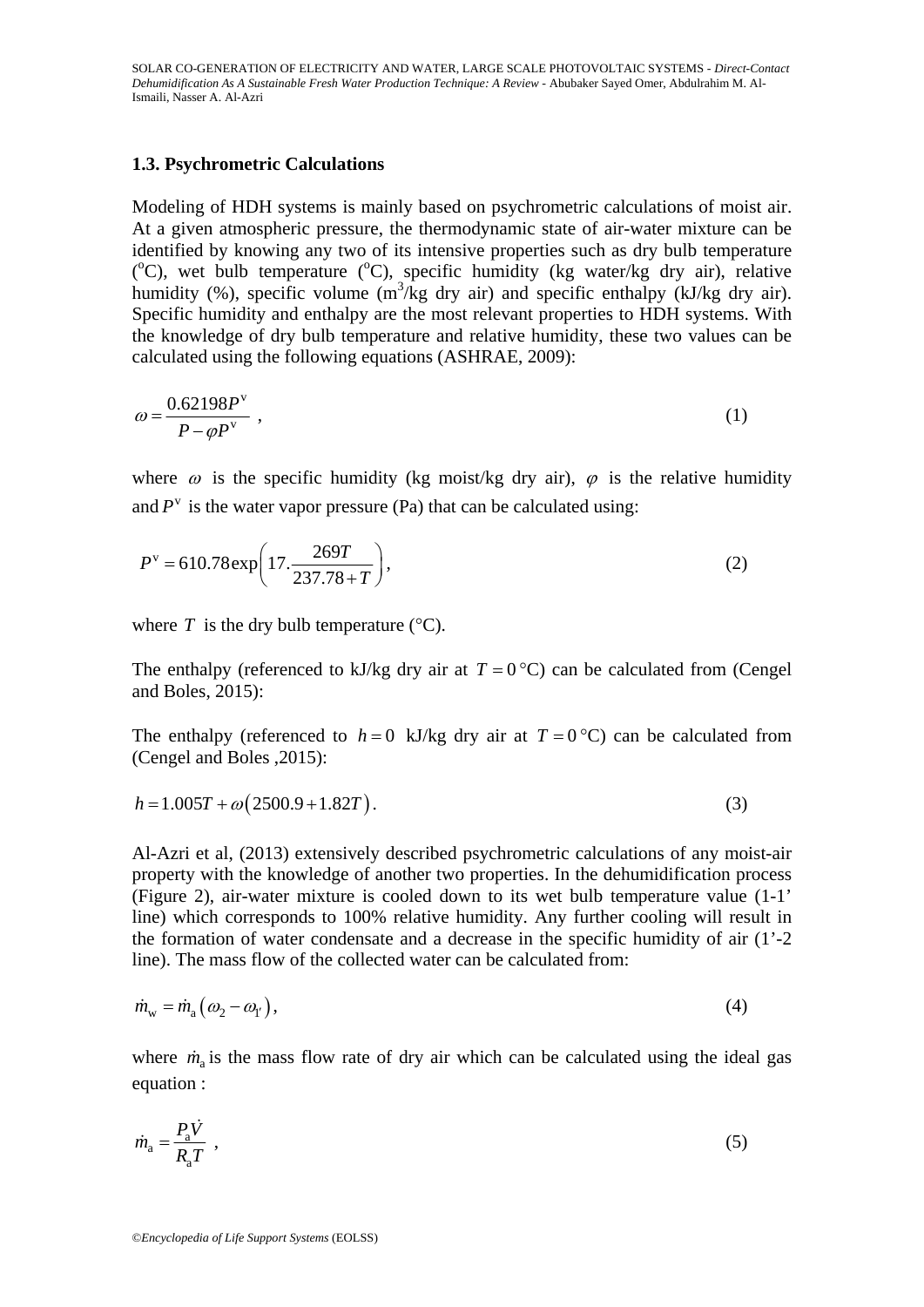#### **1.3. Psychrometric Calculations**

Modeling of HDH systems is mainly based on psychrometric calculations of moist air. At a given atmospheric pressure, the thermodynamic state of air-water mixture can be identified by knowing any two of its intensive properties such as dry bulb temperature (°C), wet bulb temperature (°C), specific humidity (kg water/kg dry air), relative humidity (%), specific volume  $(m^3/kg$  dry air) and specific enthalpy (kJ/kg dry air). Specific humidity and enthalpy are the most relevant properties to HDH systems. With the knowledge of dry bulb temperature and relative humidity, these two values can be calculated using the following equations (ASHRAE, 2009):

$$
\omega = \frac{0.62198P^{\nu}}{P - \varphi P^{\nu}} \tag{1}
$$

where  $\omega$  is the specific humidity (kg moist/kg dry air),  $\varphi$  is the relative humidity and  $P^v$  is the water vapor pressure (Pa) that can be calculated using:

$$
P^{\nu} = 610.78 \exp\left(17. \frac{269T}{237.78 + T}\right),\tag{2}
$$

where  $T$  is the dry bulb temperature  $({}^{\circ}C)$ .

The enthalpy (referenced to kJ/kg dry air at  $T = 0$  °C) can be calculated from (Cengel and Boles, 2015):

The enthalpy (referenced to  $h = 0$  kJ/kg dry air at  $T = 0$  °C) can be calculated from (Cengel and Boles ,2015):

$$
h = 1.005T + \omega(2500.9 + 1.82T). \tag{3}
$$

Al-Azri et al, (2013) extensively described psychrometric calculations of any moist-air property with the knowledge of another two properties. In the dehumidification process (Figure 2), air-water mixture is cooled down to its wet bulb temperature value (1-1' line) which corresponds to 100% relative humidity. Any further cooling will result in the formation of water condensate and a decrease in the specific humidity of air (1'-2 line). The mass flow of the collected water can be calculated from:

$$
\dot{m}_{\rm w} = \dot{m}_{\rm a} \left( \omega_2 - \omega_{\rm l'} \right),\tag{4}
$$

where  $\dot{m}_a$  is the mass flow rate of dry air which can be calculated using the ideal gas equation :

$$
\dot{m}_{\rm a} = \frac{P_{\rm a}\dot{V}}{R_{\rm a}T} \tag{5}
$$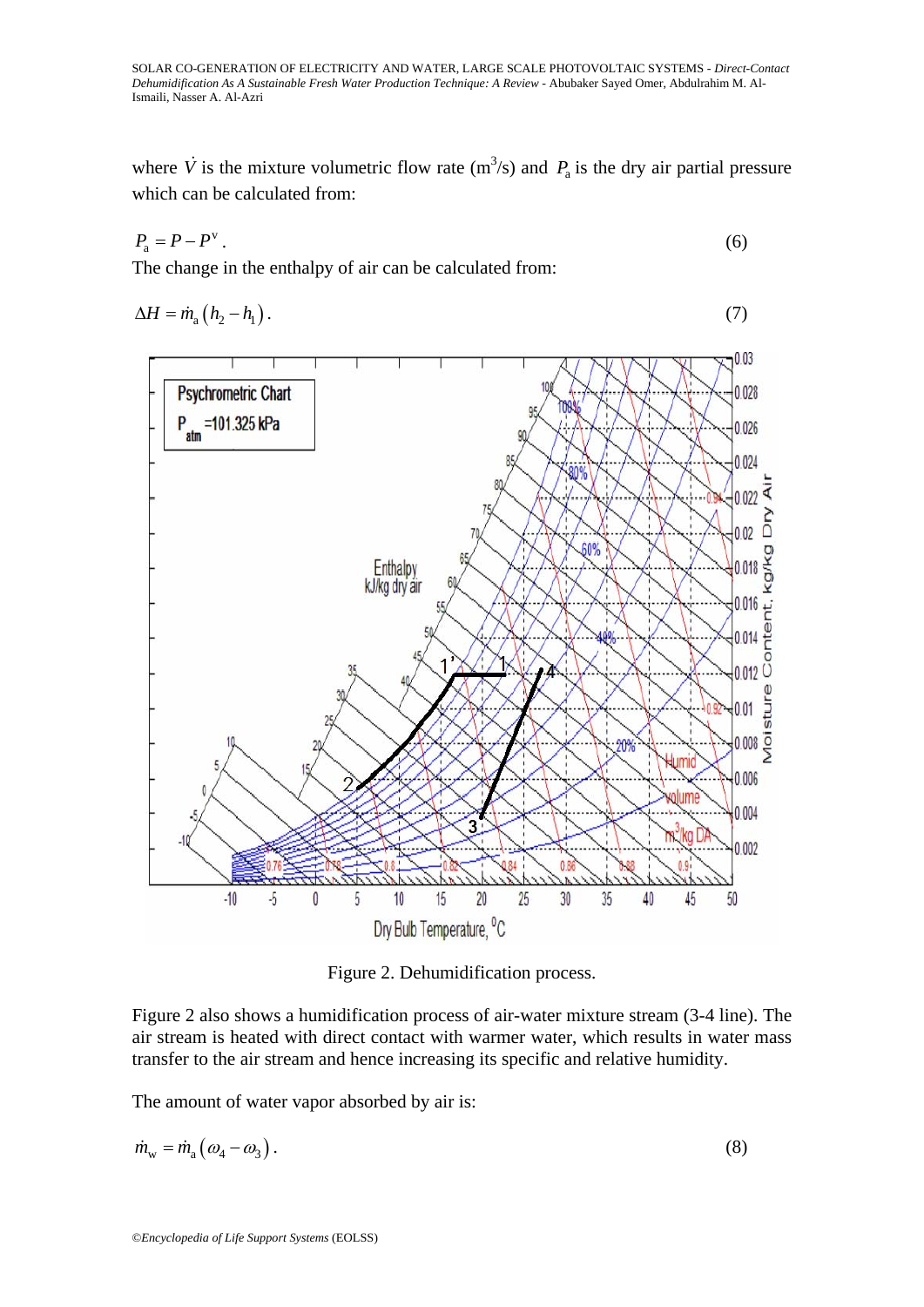where  $\dot{V}$  is the mixture volumetric flow rate (m<sup>3</sup>/s) and  $P_a$  is the dry air partial pressure which can be calculated from:

$$
P_{\rm a} = P - P^{\rm v} \tag{6}
$$

The change in the enthalpy of air can be calculated from:

$$
\Delta H = \dot{m}_a \left( h_2 - h_1 \right). \tag{7}
$$



Figure 2. Dehumidification process.

Figure 2 also shows a humidification process of air-water mixture stream (3-4 line). The air stream is heated with direct contact with warmer water, which results in water mass transfer to the air stream and hence increasing its specific and relative humidity.

The amount of water vapor absorbed by air is:

$$
\dot{m}_{\rm w} = \dot{m}_{\rm a} \left( \omega_4 - \omega_3 \right). \tag{8}
$$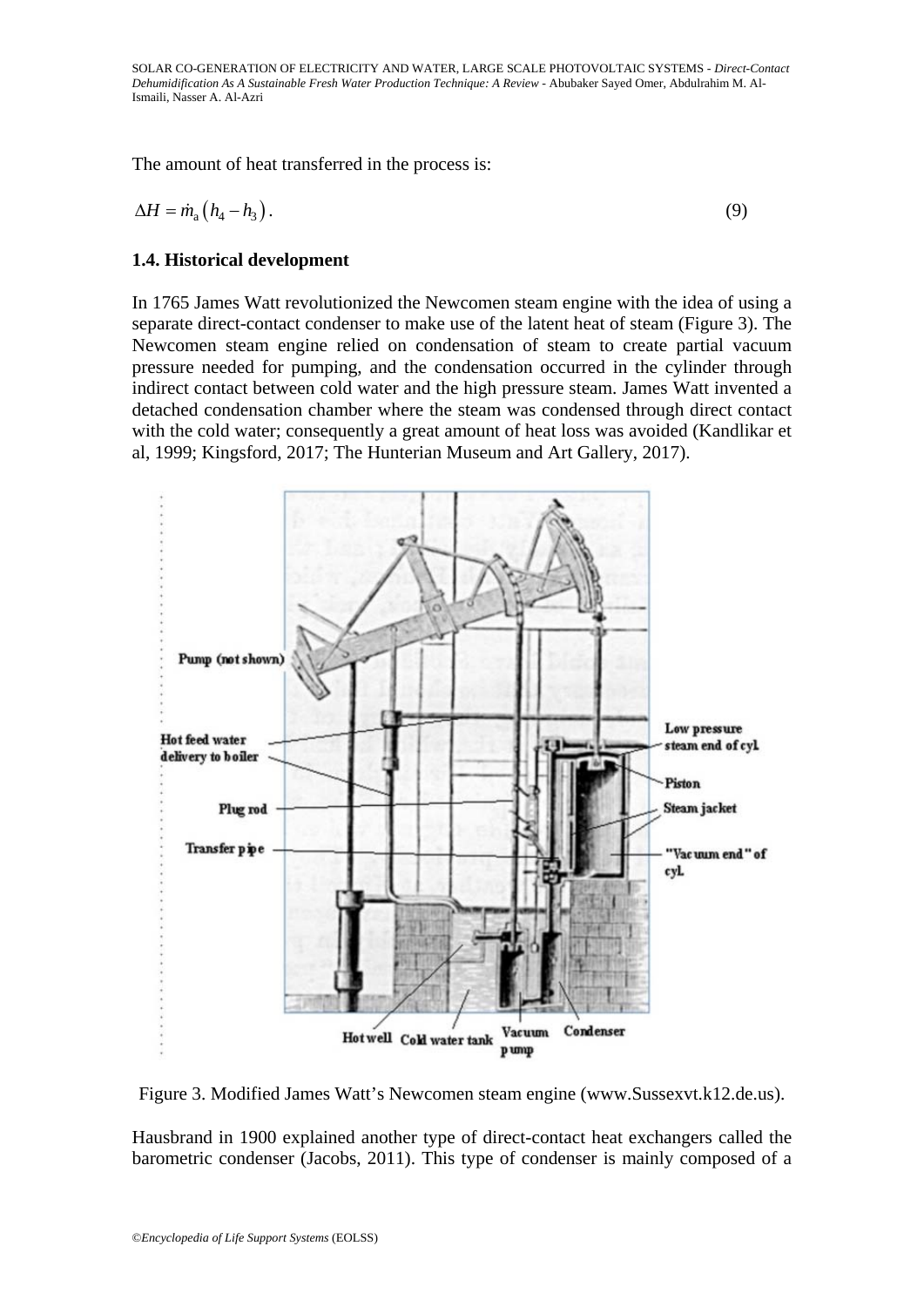The amount of heat transferred in the process is:

$$
\Delta H = m_a \left( h_4 - h_3 \right). \tag{9}
$$

## **1.4. Historical development**

In 1765 James Watt revolutionized the Newcomen steam engine with the idea of using a separate direct-contact condenser to make use of the latent heat of steam (Figure 3). The Newcomen steam engine relied on condensation of steam to create partial vacuum pressure needed for pumping, and the condensation occurred in the cylinder through indirect contact between cold water and the high pressure steam. James Watt invented a detached condensation chamber where the steam was condensed through direct contact with the cold water; consequently a great amount of heat loss was avoided (Kandlikar et al, 1999; Kingsford, 2017; The Hunterian Museum and Art Gallery, 2017).



Figure 3. Modified James Watt's Newcomen steam engine (www.Sussexvt.k12.de.us).

Hausbrand in 1900 explained another type of direct-contact heat exchangers called the barometric condenser (Jacobs, 2011). This type of condenser is mainly composed of a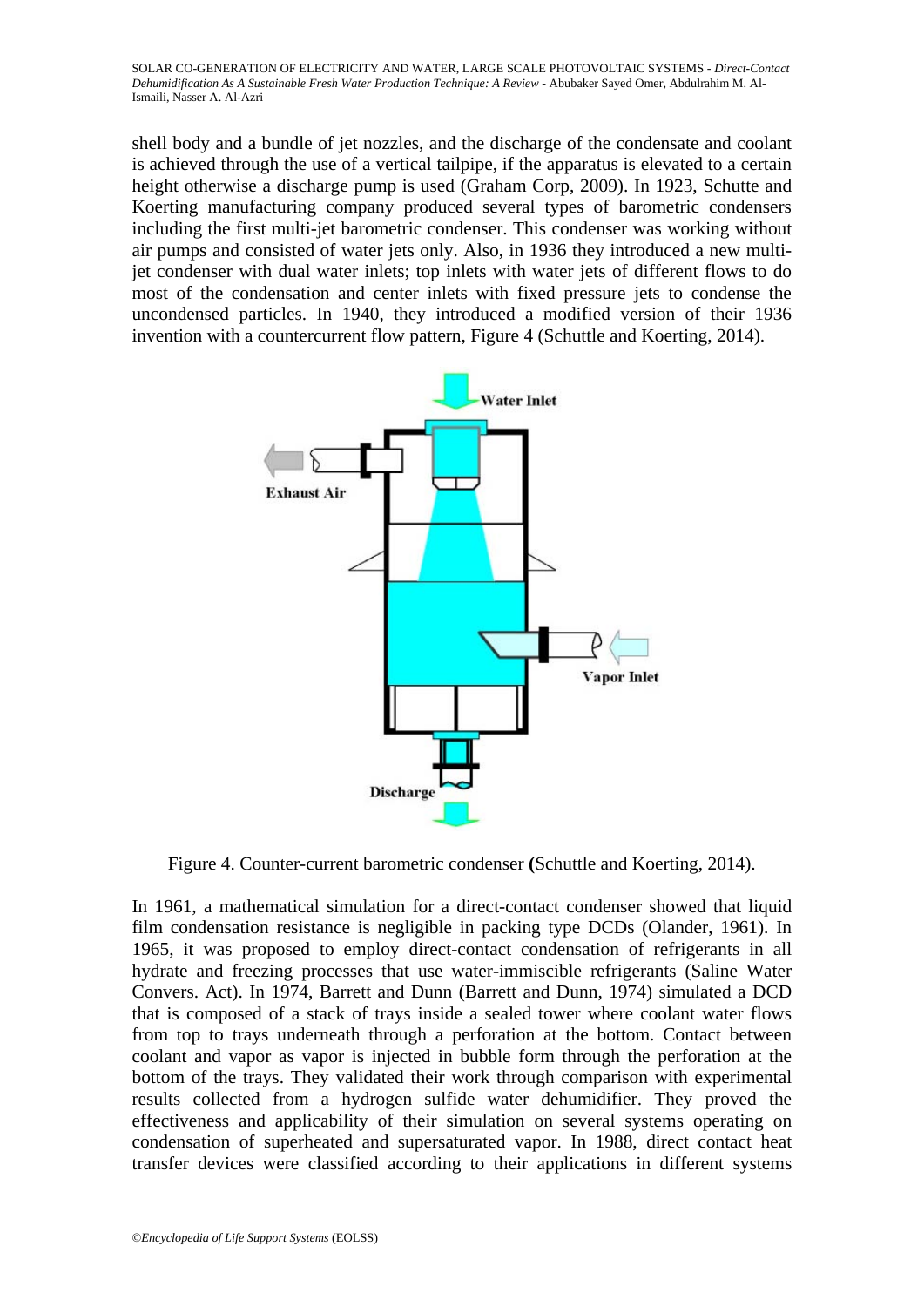shell body and a bundle of jet nozzles, and the discharge of the condensate and coolant is achieved through the use of a vertical tailpipe, if the apparatus is elevated to a certain height otherwise a discharge pump is used (Graham Corp, 2009). In 1923, Schutte and Koerting manufacturing company produced several types of barometric condensers including the first multi-jet barometric condenser. This condenser was working without air pumps and consisted of water jets only. Also, in 1936 they introduced a new multijet condenser with dual water inlets; top inlets with water jets of different flows to do most of the condensation and center inlets with fixed pressure jets to condense the uncondensed particles. In 1940, they introduced a modified version of their 1936 invention with a countercurrent flow pattern, Figure 4 (Schuttle and Koerting, 2014).



Figure 4. Counter-current barometric condenser **(**Schuttle and Koerting, 2014).

In 1961, a mathematical simulation for a direct-contact condenser showed that liquid film condensation resistance is negligible in packing type DCDs (Olander, 1961). In 1965, it was proposed to employ direct-contact condensation of refrigerants in all hydrate and freezing processes that use water-immiscible refrigerants (Saline Water Convers. Act). In 1974, Barrett and Dunn (Barrett and Dunn, 1974) simulated a DCD that is composed of a stack of trays inside a sealed tower where coolant water flows from top to trays underneath through a perforation at the bottom. Contact between coolant and vapor as vapor is injected in bubble form through the perforation at the bottom of the trays. They validated their work through comparison with experimental results collected from a hydrogen sulfide water dehumidifier. They proved the effectiveness and applicability of their simulation on several systems operating on condensation of superheated and supersaturated vapor. In 1988, direct contact heat transfer devices were classified according to their applications in different systems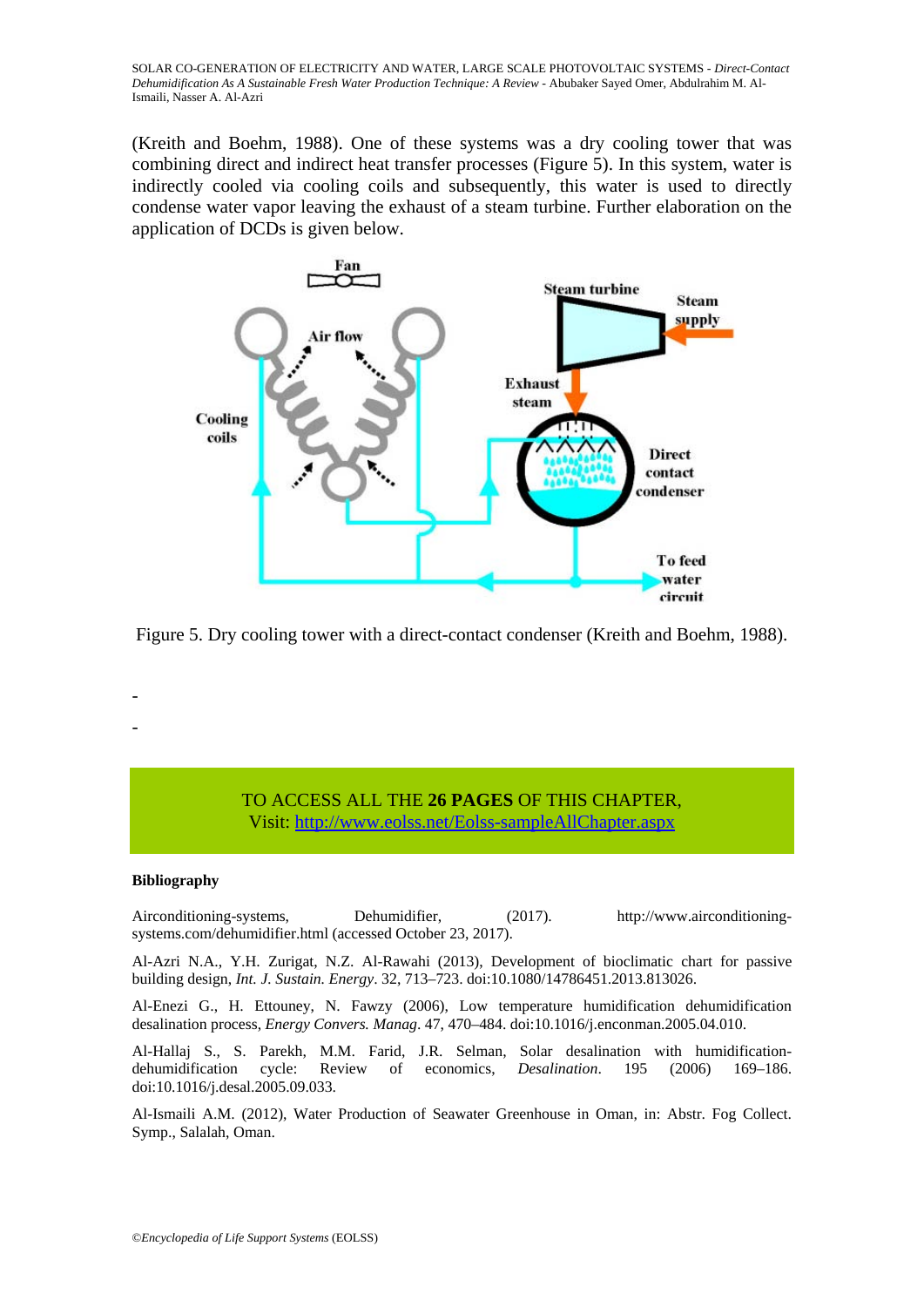(Kreith and Boehm, 1988). One of these systems was a dry cooling tower that was combining direct and indirect heat transfer processes (Figure 5). In this system, water is indirectly cooled via cooling coils and subsequently, this water is used to directly condense water vapor leaving the exhaust of a steam turbine. Further elaboration on the application of DCDs is given below.



Figure 5. Dry cooling tower with a direct-contact condenser (Kreith and Boehm, 1988).

#### TO ACCESS ALL THE **26 PAGES** OF THIS CHAPTER, Visi[t: http://www.eolss.net/Eolss-sampleAllChapter.aspx](https://www.eolss.net/ebooklib/sc_cart.aspx?File=E6-107-19)

#### **Bibliography**

- -

Airconditioning-systems, Dehumidifier, (2017). http://www.airconditioningsystems.com/dehumidifier.html (accessed October 23, 2017).

Al-Azri N.A., Y.H. Zurigat, N.Z. Al-Rawahi (2013), Development of bioclimatic chart for passive building design, *Int. J. Sustain. Energy*. 32, 713–723. doi:10.1080/14786451.2013.813026.

Al-Enezi G., H. Ettouney, N. Fawzy (2006), Low temperature humidification dehumidification desalination process, *Energy Convers. Manag*. 47, 470–484. doi:10.1016/j.enconman.2005.04.010.

Al-Hallaj S., S. Parekh, M.M. Farid, J.R. Selman, Solar desalination with humidificationdehumidification cycle: Review of economics, *Desalination*. 195 (2006) 169–186. doi:10.1016/j.desal.2005.09.033.

Al-Ismaili A.M. (2012), Water Production of Seawater Greenhouse in Oman, in: Abstr. Fog Collect. Symp., Salalah, Oman.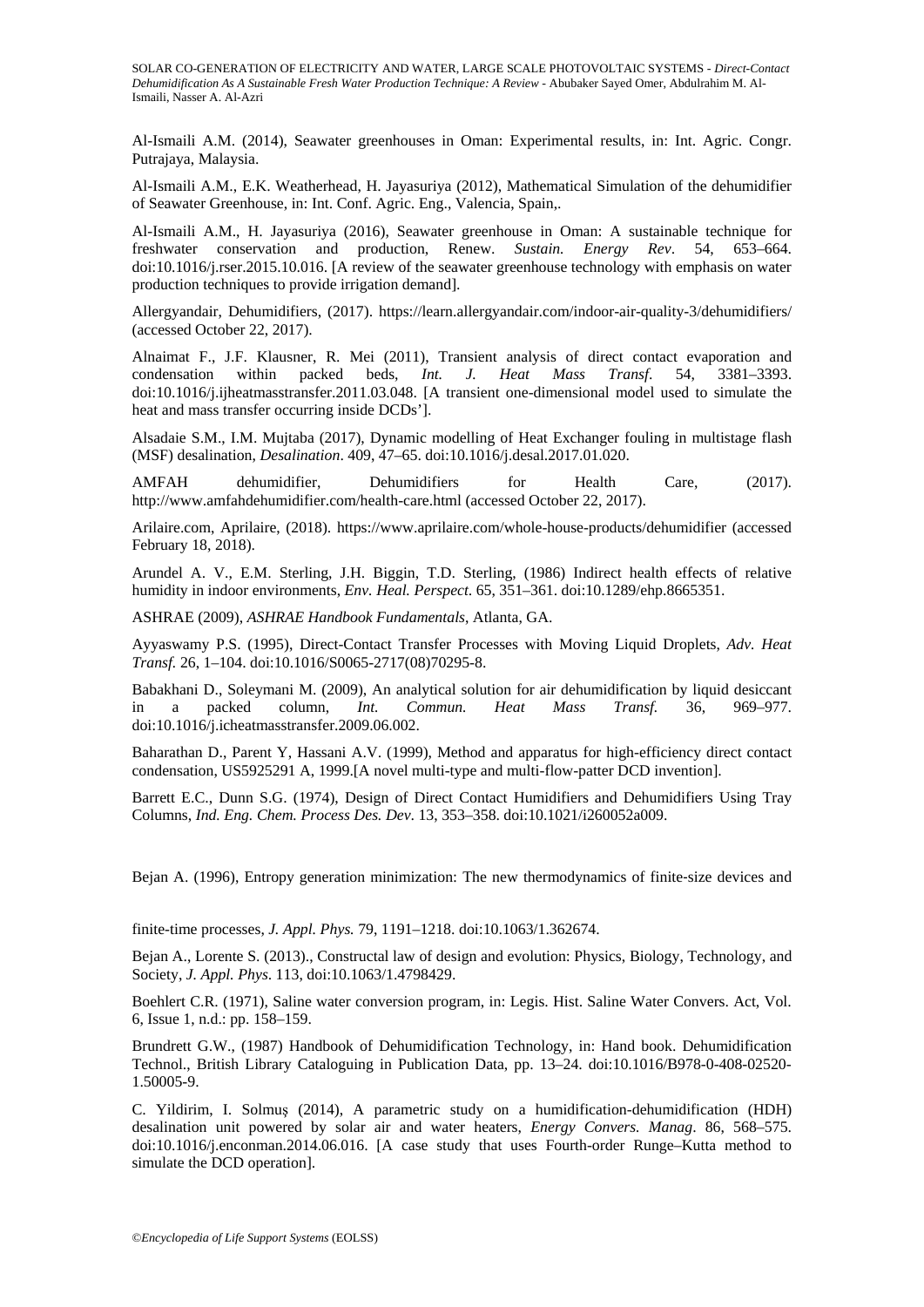Al-Ismaili A.M. (2014), Seawater greenhouses in Oman: Experimental results, in: Int. Agric. Congr. Putrajaya, Malaysia.

Al-Ismaili A.M., E.K. Weatherhead, H. Jayasuriya (2012), Mathematical Simulation of the dehumidifier of Seawater Greenhouse, in: Int. Conf. Agric. Eng., Valencia, Spain,.

Al-Ismaili A.M., H. Jayasuriya (2016), Seawater greenhouse in Oman: A sustainable technique for freshwater conservation and production, Renew. *Sustain. Energy Rev*. 54, 653–664. doi:10.1016/j.rser.2015.10.016. [A review of the seawater greenhouse technology with emphasis on water production techniques to provide irrigation demand].

Allergyandair, Dehumidifiers, (2017). https://learn.allergyandair.com/indoor-air-quality-3/dehumidifiers/ (accessed October 22, 2017).

Alnaimat F., J.F. Klausner, R. Mei (2011), Transient analysis of direct contact evaporation and condensation within packed beds, *Int. J. Heat Mass Transf*. 54, 3381–3393. doi:10.1016/j.ijheatmasstransfer.2011.03.048. [A transient one-dimensional model used to simulate the heat and mass transfer occurring inside DCDs'].

Alsadaie S.M., I.M. Mujtaba (2017), Dynamic modelling of Heat Exchanger fouling in multistage flash (MSF) desalination, *Desalination*. 409, 47–65. doi:10.1016/j.desal.2017.01.020.

AMFAH dehumidifier, Dehumidifiers for Health Care, (2017). http://www.amfahdehumidifier.com/health-care.html (accessed October 22, 2017).

Arilaire.com, Aprilaire, (2018). https://www.aprilaire.com/whole-house-products/dehumidifier (accessed February 18, 2018).

Arundel A. V., E.M. Sterling, J.H. Biggin, T.D. Sterling, (1986) Indirect health effects of relative humidity in indoor environments, *Env. Heal. Perspect*. 65, 351–361. doi:10.1289/ehp.8665351.

ASHRAE (2009), *ASHRAE Handbook Fundamentals*, Atlanta, GA.

Ayyaswamy P.S. (1995), Direct-Contact Transfer Processes with Moving Liquid Droplets, *Adv. Heat Transf.* 26, 1–104. doi:10.1016/S0065-2717(08)70295-8.

Babakhani D., Soleymani M. (2009), An analytical solution for air dehumidification by liquid desiccant in a nacked column. *Int. Commun. Heat Mass Transf.* 36, 969–977. in a packed column, *Int. Commun. Heat Mass Transf.* 36, 969–977. doi:10.1016/j.icheatmasstransfer.2009.06.002.

Baharathan D., Parent Y, Hassani A.V. (1999), Method and apparatus for high-efficiency direct contact condensation, US5925291 A, 1999.[A novel multi-type and multi-flow-patter DCD invention].

Barrett E.C., Dunn S.G. (1974), Design of Direct Contact Humidifiers and Dehumidifiers Using Tray Columns, *Ind. Eng. Chem. Process Des. Dev*. 13, 353–358. doi:10.1021/i260052a009.

Bejan A. (1996), Entropy generation minimization: The new thermodynamics of finite-size devices and

finite-time processes, *J. Appl. Phys.* 79, 1191–1218. doi:10.1063/1.362674.

Bejan A., Lorente S. (2013)., Constructal law of design and evolution: Physics, Biology, Technology, and Society, *J. Appl. Phys*. 113, doi:10.1063/1.4798429.

Boehlert C.R. (1971), Saline water conversion program, in: Legis. Hist. Saline Water Convers. Act, Vol. 6, Issue 1, n.d.: pp. 158–159.

Brundrett G.W., (1987) Handbook of Dehumidification Technology, in: Hand book. Dehumidification Technol., British Library Cataloguing in Publication Data, pp. 13–24. doi:10.1016/B978-0-408-02520- 1.50005-9.

C. Yildirim, I. Solmuş (2014), A parametric study on a humidification-dehumidification (HDH) desalination unit powered by solar air and water heaters, *Energy Convers. Manag*. 86, 568–575. doi:10.1016/j.enconman.2014.06.016. [A case study that uses Fourth-order Runge–Kutta method to simulate the DCD operation].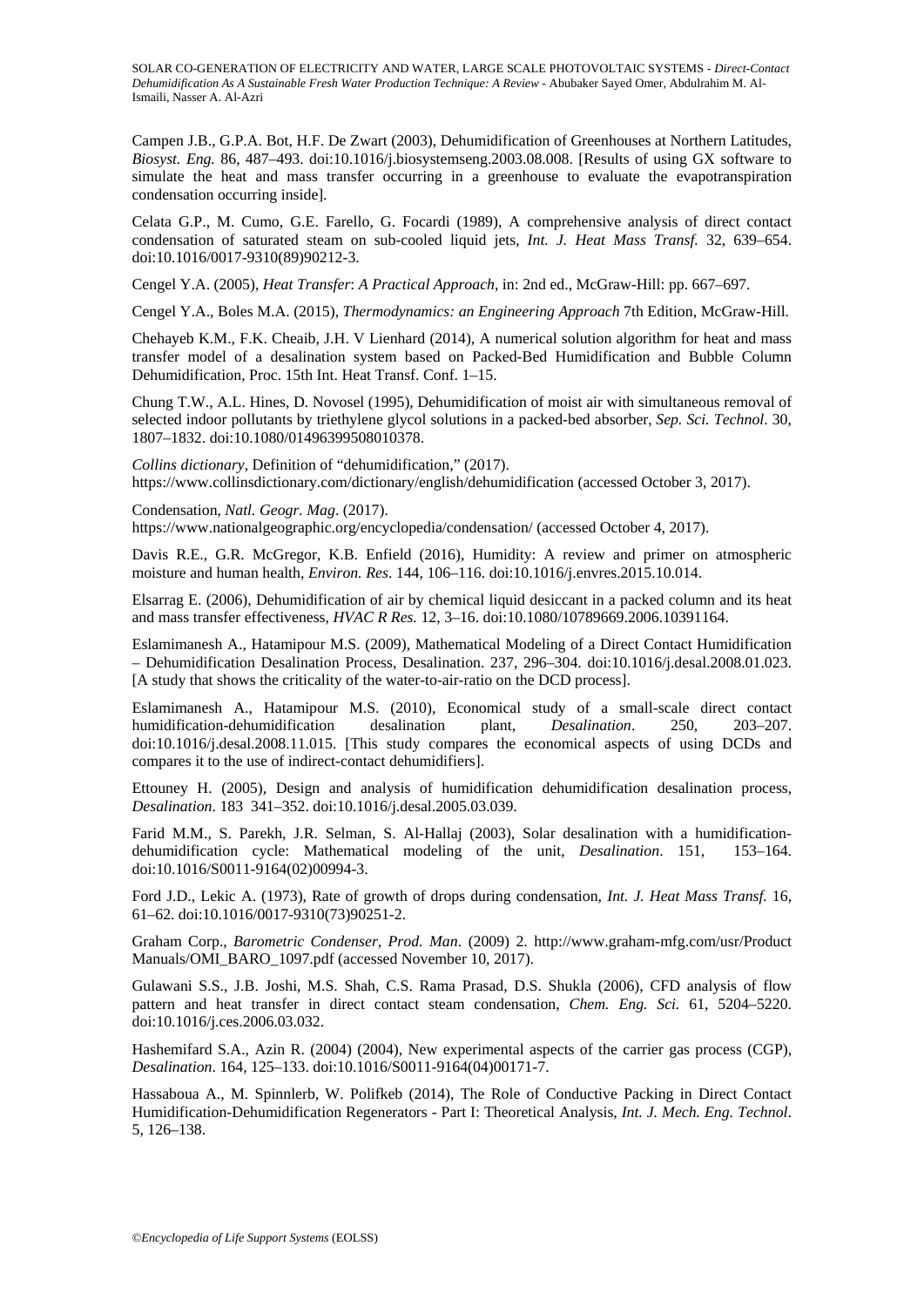Campen J.B., G.P.A. Bot, H.F. De Zwart (2003), Dehumidification of Greenhouses at Northern Latitudes, *Biosyst. Eng.* 86, 487–493. doi:10.1016/j.biosystemseng.2003.08.008. [Results of using GX software to simulate the heat and mass transfer occurring in a greenhouse to evaluate the evapotranspiration condensation occurring inside].

Celata G.P., M. Cumo, G.E. Farello, G. Focardi (1989), A comprehensive analysis of direct contact condensation of saturated steam on sub-cooled liquid jets, *Int. J. Heat Mass Transf.* 32, 639–654. doi:10.1016/0017-9310(89)90212-3.

Cengel Y.A. (2005), *Heat Transfer*: *A Practical Approach*, in: 2nd ed., McGraw-Hill: pp. 667–697.

Cengel Y.A., Boles M.A. (2015), *Thermodynamics: an Engineering Approach* 7th Edition, McGraw-Hill.

Chehayeb K.M., F.K. Cheaib, J.H. V Lienhard (2014), A numerical solution algorithm for heat and mass transfer model of a desalination system based on Packed-Bed Humidification and Bubble Column Dehumidification, Proc. 15th Int. Heat Transf. Conf. 1–15.

Chung T.W., A.L. Hines, D. Novosel (1995), Dehumidification of moist air with simultaneous removal of selected indoor pollutants by triethylene glycol solutions in a packed-bed absorber, *Sep. Sci. Technol*. 30, 1807–1832. doi:10.1080/01496399508010378.

*Collins dictionary*, Definition of "dehumidification," (2017). https://www.collinsdictionary.com/dictionary/english/dehumidification (accessed October 3, 2017).

Condensation, *Natl. Geogr. Mag*. (2017). https://www.nationalgeographic.org/encyclopedia/condensation/ (accessed October 4, 2017).

Davis R.E., G.R. McGregor, K.B. Enfield (2016), Humidity: A review and primer on atmospheric moisture and human health, *Environ. Res*. 144, 106–116. doi:10.1016/j.envres.2015.10.014.

Elsarrag E. (2006), Dehumidification of air by chemical liquid desiccant in a packed column and its heat and mass transfer effectiveness, *HVAC R Res.* 12, 3–16. doi:10.1080/10789669.2006.10391164.

Eslamimanesh A., Hatamipour M.S. (2009), Mathematical Modeling of a Direct Contact Humidification – Dehumidification Desalination Process, Desalination. 237, 296–304. doi:10.1016/j.desal.2008.01.023. [A study that shows the criticality of the water-to-air-ratio on the DCD process].

Eslamimanesh A., Hatamipour M.S. (2010), Economical study of a small-scale direct contact humidification-dehumidification desalination plant, *Desalination*. 250, 203–207. doi:10.1016/j.desal.2008.11.015. [This study compares the economical aspects of using DCDs and compares it to the use of indirect-contact dehumidifiers].

Ettouney H. (2005), Design and analysis of humidification dehumidification desalination process, *Desalination*. 183 341–352. doi:10.1016/j.desal.2005.03.039.

Farid M.M., S. Parekh, J.R. Selman, S. Al-Hallaj (2003), Solar desalination with a humidificationdehumidification cycle: Mathematical modeling of the unit, *Desalination*. 151, 153–164. doi:10.1016/S0011-9164(02)00994-3.

Ford J.D., Lekic A. (1973), Rate of growth of drops during condensation, *Int. J. Heat Mass Transf.* 16, 61–62. doi:10.1016/0017-9310(73)90251-2.

Graham Corp., *Barometric Condenser, Prod. Man*. (2009) 2. http://www.graham-mfg.com/usr/Product Manuals/OMI\_BARO\_1097.pdf (accessed November 10, 2017).

Gulawani S.S., J.B. Joshi, M.S. Shah, C.S. Rama Prasad, D.S. Shukla (2006), CFD analysis of flow pattern and heat transfer in direct contact steam condensation, *Chem. Eng. Sci.* 61, 5204–5220. doi:10.1016/j.ces.2006.03.032.

Hashemifard S.A., Azin R. (2004) (2004), New experimental aspects of the carrier gas process (CGP), *Desalination*. 164, 125–133. doi:10.1016/S0011-9164(04)00171-7.

Hassaboua A., M. Spinnlerb, W. Polifkeb (2014), The Role of Conductive Packing in Direct Contact Humidification-Dehumidification Regenerators - Part I: Theoretical Analysis, *Int. J. Mech. Eng. Technol*. 5, 126–138.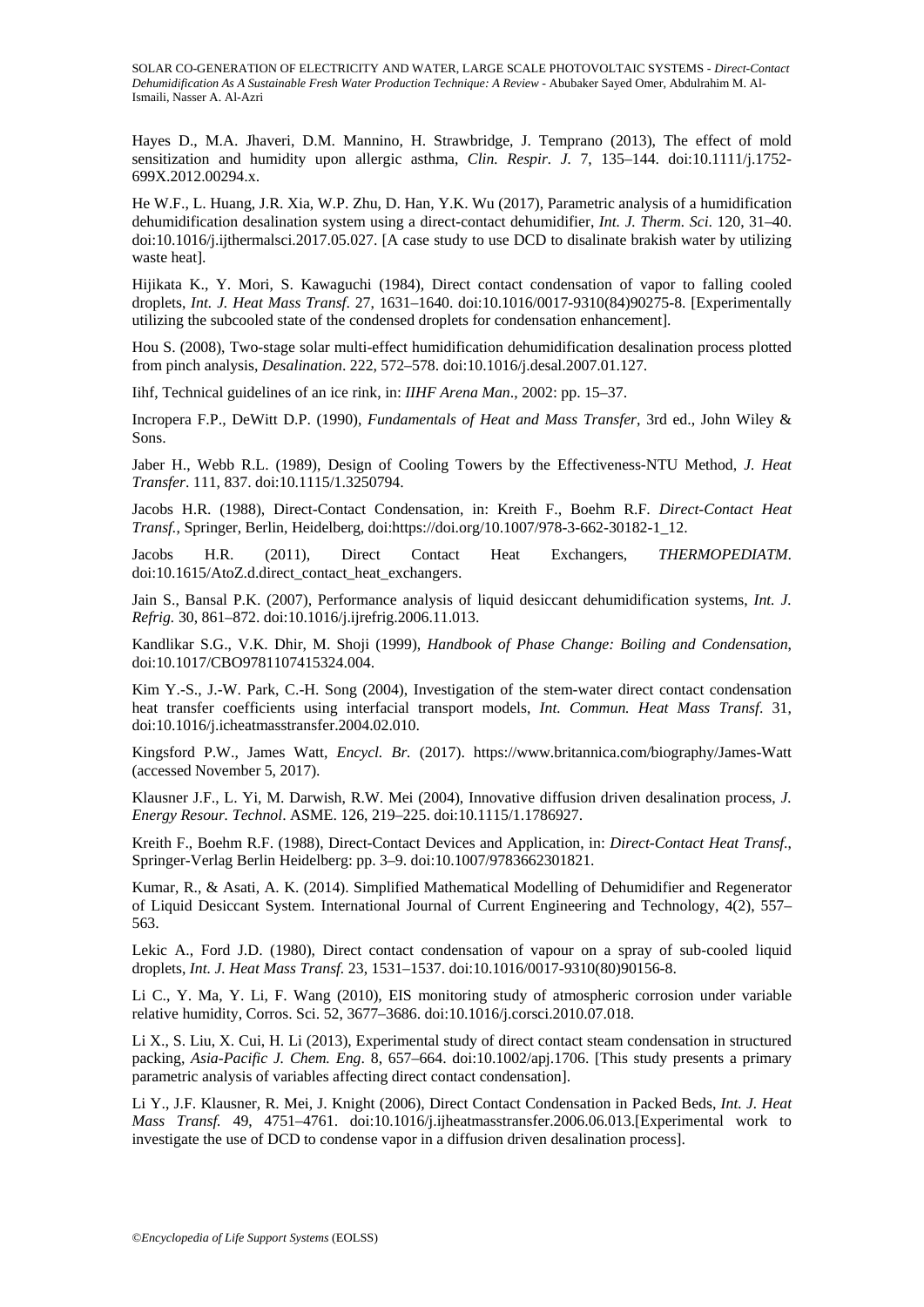Hayes D., M.A. Jhaveri, D.M. Mannino, H. Strawbridge, J. Temprano (2013), The effect of mold sensitization and humidity upon allergic asthma, *Clin. Respir. J.* 7, 135–144. doi:10.1111/j.1752- 699X.2012.00294.x.

He W.F., L. Huang, J.R. Xia, W.P. Zhu, D. Han, Y.K. Wu (2017), Parametric analysis of a humidification dehumidification desalination system using a direct-contact dehumidifier, *Int. J. Therm. Sci*. 120, 31–40. doi:10.1016/j.ijthermalsci.2017.05.027. [A case study to use DCD to disalinate brakish water by utilizing waste heat].

Hijikata K., Y. Mori, S. Kawaguchi (1984), Direct contact condensation of vapor to falling cooled droplets, *Int. J. Heat Mass Transf*. 27, 1631–1640. doi:10.1016/0017-9310(84)90275-8. [Experimentally utilizing the subcooled state of the condensed droplets for condensation enhancement].

Hou S. (2008), Two-stage solar multi-effect humidification dehumidification desalination process plotted from pinch analysis, *Desalination*. 222, 572–578. doi:10.1016/j.desal.2007.01.127.

Iihf, Technical guidelines of an ice rink, in: *IIHF Arena Man*., 2002: pp. 15–37.

Incropera F.P., DeWitt D.P. (1990), *Fundamentals of Heat and Mass Transfer*, 3rd ed., John Wiley & Sons.

Jaber H., Webb R.L. (1989), Design of Cooling Towers by the Effectiveness-NTU Method, *J. Heat Transfer*. 111, 837. doi:10.1115/1.3250794.

Jacobs H.R. (1988), Direct-Contact Condensation, in: Kreith F., Boehm R.F. *Direct-Contact Heat Transf.*, Springer, Berlin, Heidelberg, doi:https://doi.org/10.1007/978-3-662-30182-1\_12.

Jacobs H.R. (2011), Direct Contact Heat Exchangers, *THERMOPEDIATM*. doi:10.1615/AtoZ.d.direct\_contact\_heat\_exchangers.

Jain S., Bansal P.K. (2007), Performance analysis of liquid desiccant dehumidification systems, *Int. J. Refrig.* 30, 861–872. doi:10.1016/j.ijrefrig.2006.11.013.

Kandlikar S.G., V.K. Dhir, M. Shoji (1999), *Handbook of Phase Change: Boiling and Condensation*, doi:10.1017/CBO9781107415324.004.

Kim Y.-S., J.-W. Park, C.-H. Song (2004), Investigation of the stem-water direct contact condensation heat transfer coefficients using interfacial transport models, *Int. Commun. Heat Mass Transf*. 31, doi:10.1016/j.icheatmasstransfer.2004.02.010.

Kingsford P.W., James Watt, *Encycl. Br.* (2017). https://www.britannica.com/biography/James-Watt (accessed November 5, 2017).

Klausner J.F., L. Yi, M. Darwish, R.W. Mei (2004), Innovative diffusion driven desalination process, *J. Energy Resour. Technol*. ASME. 126, 219–225. doi:10.1115/1.1786927.

Kreith F., Boehm R.F. (1988), Direct-Contact Devices and Application, in: *Direct-Contact Heat Transf*., Springer-Verlag Berlin Heidelberg: pp. 3–9. doi:10.1007/9783662301821.

Kumar, R., & Asati, A. K. (2014). Simplified Mathematical Modelling of Dehumidifier and Regenerator of Liquid Desiccant System. International Journal of Current Engineering and Technology, 4(2), 557– 563.

Lekic A., Ford J.D. (1980), Direct contact condensation of vapour on a spray of sub-cooled liquid droplets, *Int. J. Heat Mass Transf.* 23, 1531–1537. doi:10.1016/0017-9310(80)90156-8.

Li C., Y. Ma, Y. Li, F. Wang (2010), EIS monitoring study of atmospheric corrosion under variable relative humidity, Corros. Sci. 52, 3677–3686. doi:10.1016/j.corsci.2010.07.018.

Li X., S. Liu, X. Cui, H. Li (2013), Experimental study of direct contact steam condensation in structured packing, *Asia-Pacific J. Chem. Eng*. 8, 657–664. doi:10.1002/apj.1706. [This study presents a primary parametric analysis of variables affecting direct contact condensation].

Li Y., J.F. Klausner, R. Mei, J. Knight (2006), Direct Contact Condensation in Packed Beds, *Int. J. Heat Mass Transf.* 49, 4751–4761. doi:10.1016/j.ijheatmasstransfer.2006.06.013.[Experimental work to investigate the use of DCD to condense vapor in a diffusion driven desalination process].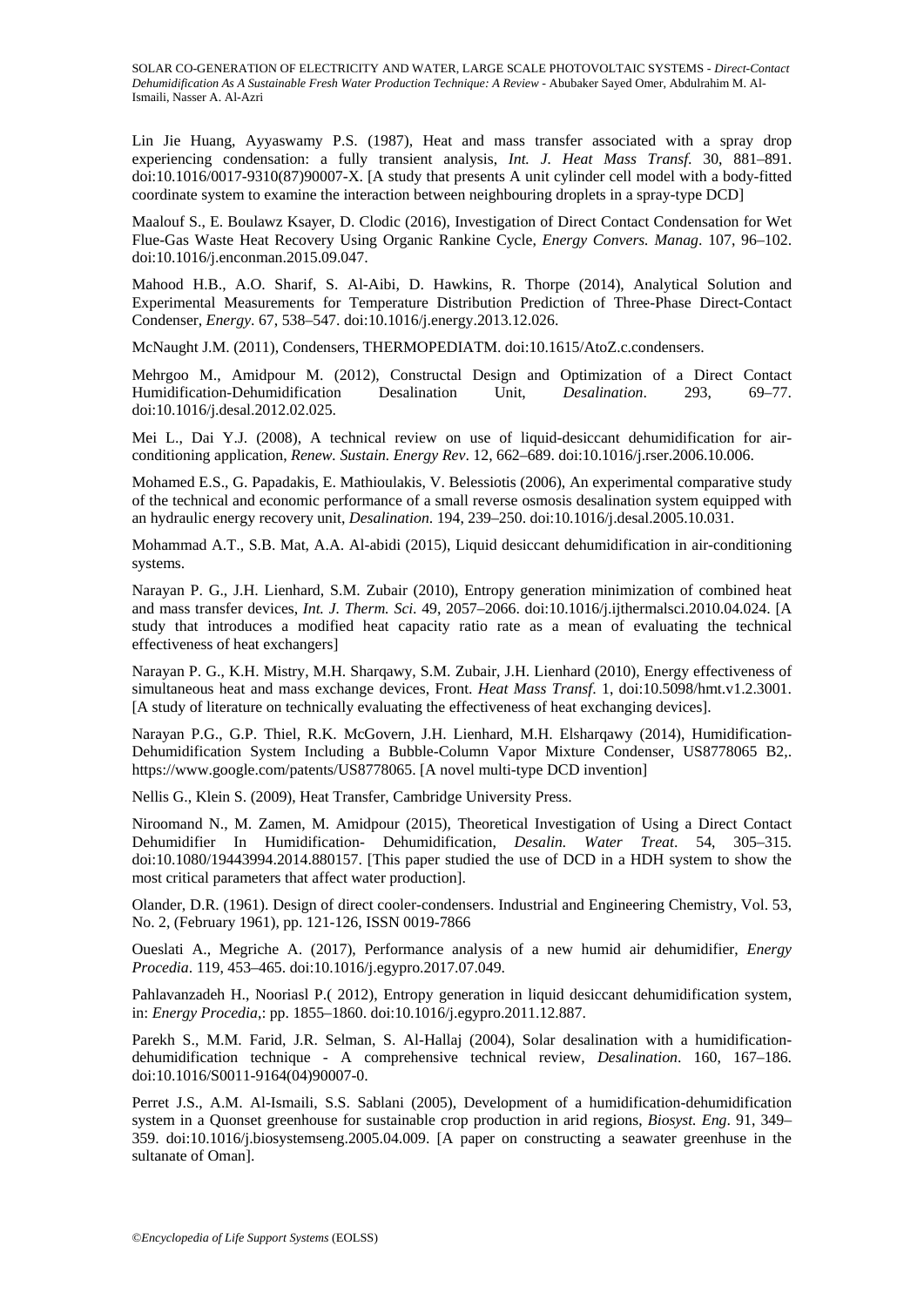Lin Jie Huang, Ayyaswamy P.S. (1987), Heat and mass transfer associated with a spray drop experiencing condensation: a fully transient analysis, *Int. J. Heat Mass Transf*. 30, 881–891. doi:10.1016/0017-9310(87)90007-X. [A study that presents A unit cylinder cell model with a body-fitted coordinate system to examine the interaction between neighbouring droplets in a spray-type DCD]

Maalouf S., E. Boulawz Ksayer, D. Clodic (2016), Investigation of Direct Contact Condensation for Wet Flue-Gas Waste Heat Recovery Using Organic Rankine Cycle, *Energy Convers. Manag*. 107, 96–102. doi:10.1016/j.enconman.2015.09.047.

Mahood H.B., A.O. Sharif, S. Al-Aibi, D. Hawkins, R. Thorpe (2014), Analytical Solution and Experimental Measurements for Temperature Distribution Prediction of Three-Phase Direct-Contact Condenser, *Energy*. 67, 538–547. doi:10.1016/j.energy.2013.12.026.

McNaught J.M. (2011), Condensers, THERMOPEDIATM. doi:10.1615/AtoZ.c.condensers.

Mehrgoo M., Amidpour M. (2012), Constructal Design and Optimization of a Direct Contact Humidification-Dehumidification Desalination Unit, *Desalination*. 293, 69–77. doi:10.1016/j.desal.2012.02.025.

Mei L., Dai Y.J. (2008), A technical review on use of liquid-desiccant dehumidification for airconditioning application, *Renew. Sustain. Energy Rev*. 12, 662–689. doi:10.1016/j.rser.2006.10.006.

Mohamed E.S., G. Papadakis, E. Mathioulakis, V. Belessiotis (2006), An experimental comparative study of the technical and economic performance of a small reverse osmosis desalination system equipped with an hydraulic energy recovery unit, *Desalination*. 194, 239–250. doi:10.1016/j.desal.2005.10.031.

Mohammad A.T., S.B. Mat, A.A. Al-abidi (2015), Liquid desiccant dehumidification in air-conditioning systems.

Narayan P. G., J.H. Lienhard, S.M. Zubair (2010), Entropy generation minimization of combined heat and mass transfer devices, *Int. J. Therm. Sci*. 49, 2057–2066. doi:10.1016/j.ijthermalsci.2010.04.024. [A study that introduces a modified heat capacity ratio rate as a mean of evaluating the technical effectiveness of heat exchangers]

Narayan P. G., K.H. Mistry, M.H. Sharqawy, S.M. Zubair, J.H. Lienhard (2010), Energy effectiveness of simultaneous heat and mass exchange devices, Front. *Heat Mass Transf*. 1, doi:10.5098/hmt.v1.2.3001. [A study of literature on technically evaluating the effectiveness of heat exchanging devices].

Narayan P.G., G.P. Thiel, R.K. McGovern, J.H. Lienhard, M.H. Elsharqawy (2014), Humidification-Dehumidification System Including a Bubble-Column Vapor Mixture Condenser, US8778065 B2,. https://www.google.com/patents/US8778065. [A novel multi-type DCD invention]

Nellis G., Klein S. (2009), Heat Transfer, Cambridge University Press.

Niroomand N., M. Zamen, M. Amidpour (2015), Theoretical Investigation of Using a Direct Contact Dehumidifier In Humidification- Dehumidification, *Desalin. Water Treat*. 54, 305–315. doi:10.1080/19443994.2014.880157. [This paper studied the use of DCD in a HDH system to show the most critical parameters that affect water production].

Olander, D.R. (1961). Design of direct cooler-condensers. Industrial and Engineering Chemistry, Vol. 53, No. 2, (February 1961), pp. 121-126, ISSN 0019-7866

Oueslati A., Megriche A. (2017), Performance analysis of a new humid air dehumidifier, *Energy Procedia*. 119, 453–465. doi:10.1016/j.egypro.2017.07.049.

Pahlavanzadeh H., Nooriasl P.( 2012), Entropy generation in liquid desiccant dehumidification system, in: *Energy Procedia*,: pp. 1855–1860. doi:10.1016/j.egypro.2011.12.887.

Parekh S., M.M. Farid, J.R. Selman, S. Al-Hallaj (2004), Solar desalination with a humidificationdehumidification technique - A comprehensive technical review, *Desalination*. 160, 167–186. doi:10.1016/S0011-9164(04)90007-0.

Perret J.S., A.M. Al-Ismaili, S.S. Sablani (2005), Development of a humidification-dehumidification system in a Quonset greenhouse for sustainable crop production in arid regions, *Biosyst. Eng*. 91, 349– 359. doi:10.1016/j.biosystemseng.2005.04.009. [A paper on constructing a seawater greenhuse in the sultanate of Oman].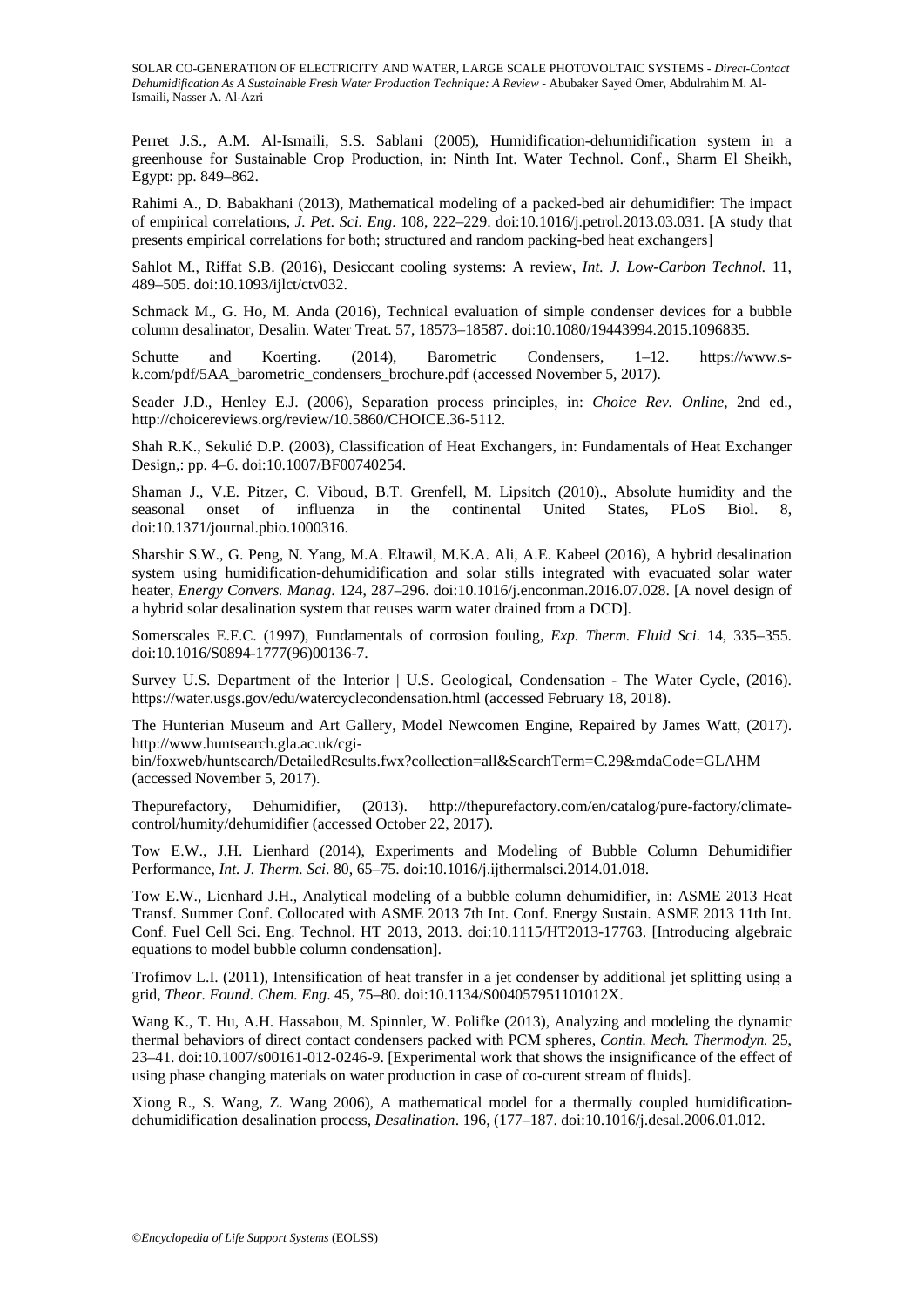Perret J.S., A.M. Al-Ismaili, S.S. Sablani (2005), Humidification-dehumidification system in a greenhouse for Sustainable Crop Production, in: Ninth Int. Water Technol. Conf., Sharm El Sheikh, Egypt: pp. 849–862.

Rahimi A., D. Babakhani (2013), Mathematical modeling of a packed-bed air dehumidifier: The impact of empirical correlations, *J. Pet. Sci. Eng*. 108, 222–229. doi:10.1016/j.petrol.2013.03.031. [A study that presents empirical correlations for both; structured and random packing-bed heat exchangers]

Sahlot M., Riffat S.B. (2016), Desiccant cooling systems: A review, *Int. J. Low-Carbon Technol.* 11, 489–505. doi:10.1093/ijlct/ctv032.

Schmack M., G. Ho, M. Anda (2016), Technical evaluation of simple condenser devices for a bubble column desalinator, Desalin. Water Treat. 57, 18573–18587. doi:10.1080/19443994.2015.1096835.

Schutte and Koerting. (2014), Barometric Condensers, 1–12. https://www.sk.com/pdf/5AA\_barometric\_condensers\_brochure.pdf (accessed November 5, 2017).

Seader J.D., Henley E.J. (2006), Separation process principles, in: *Choice Rev. Online*, 2nd ed., http://choicereviews.org/review/10.5860/CHOICE.36-5112.

Shah R.K., Sekulić D.P. (2003), Classification of Heat Exchangers, in: Fundamentals of Heat Exchanger Design,: pp. 4–6. doi:10.1007/BF00740254.

Shaman J., V.E. Pitzer, C. Viboud, B.T. Grenfell, M. Lipsitch (2010)., Absolute humidity and the seasonal onset of influenza in the continental United States, PLoS Biol. 8, doi:10.1371/journal.pbio.1000316.

Sharshir S.W., G. Peng, N. Yang, M.A. Eltawil, M.K.A. Ali, A.E. Kabeel (2016), A hybrid desalination system using humidification-dehumidification and solar stills integrated with evacuated solar water heater, *Energy Convers. Manag*. 124, 287–296. doi:10.1016/j.enconman.2016.07.028. [A novel design of a hybrid solar desalination system that reuses warm water drained from a DCD].

Somerscales E.F.C. (1997), Fundamentals of corrosion fouling, *Exp. Therm. Fluid Sci*. 14, 335–355. doi:10.1016/S0894-1777(96)00136-7.

Survey U.S. Department of the Interior | U.S. Geological, Condensation - The Water Cycle, (2016). https://water.usgs.gov/edu/watercyclecondensation.html (accessed February 18, 2018).

The Hunterian Museum and Art Gallery, Model Newcomen Engine, Repaired by James Watt, (2017). http://www.huntsearch.gla.ac.uk/cgi-

bin/foxweb/huntsearch/DetailedResults.fwx?collection=all&SearchTerm=C.29&mdaCode=GLAHM (accessed November 5, 2017).

Thepurefactory, Dehumidifier, (2013). http://thepurefactory.com/en/catalog/pure-factory/climatecontrol/humity/dehumidifier (accessed October 22, 2017).

Tow E.W., J.H. Lienhard (2014), Experiments and Modeling of Bubble Column Dehumidifier Performance, *Int. J. Therm. Sci*. 80, 65–75. doi:10.1016/j.ijthermalsci.2014.01.018.

Tow E.W., Lienhard J.H., Analytical modeling of a bubble column dehumidifier, in: ASME 2013 Heat Transf. Summer Conf. Collocated with ASME 2013 7th Int. Conf. Energy Sustain. ASME 2013 11th Int. Conf. Fuel Cell Sci. Eng. Technol. HT 2013, 2013. doi:10.1115/HT2013-17763. [Introducing algebraic equations to model bubble column condensation].

Trofimov L.I. (2011), Intensification of heat transfer in a jet condenser by additional jet splitting using a grid, *Theor. Found. Chem. Eng*. 45, 75–80. doi:10.1134/S004057951101012X.

Wang K., T. Hu, A.H. Hassabou, M. Spinnler, W. Polifke (2013), Analyzing and modeling the dynamic thermal behaviors of direct contact condensers packed with PCM spheres, *Contin. Mech. Thermodyn.* 25, 23–41. doi:10.1007/s00161-012-0246-9. [Experimental work that shows the insignificance of the effect of using phase changing materials on water production in case of co-curent stream of fluids].

Xiong R., S. Wang, Z. Wang 2006), A mathematical model for a thermally coupled humidificationdehumidification desalination process, *Desalination*. 196, (177–187. doi:10.1016/j.desal.2006.01.012.